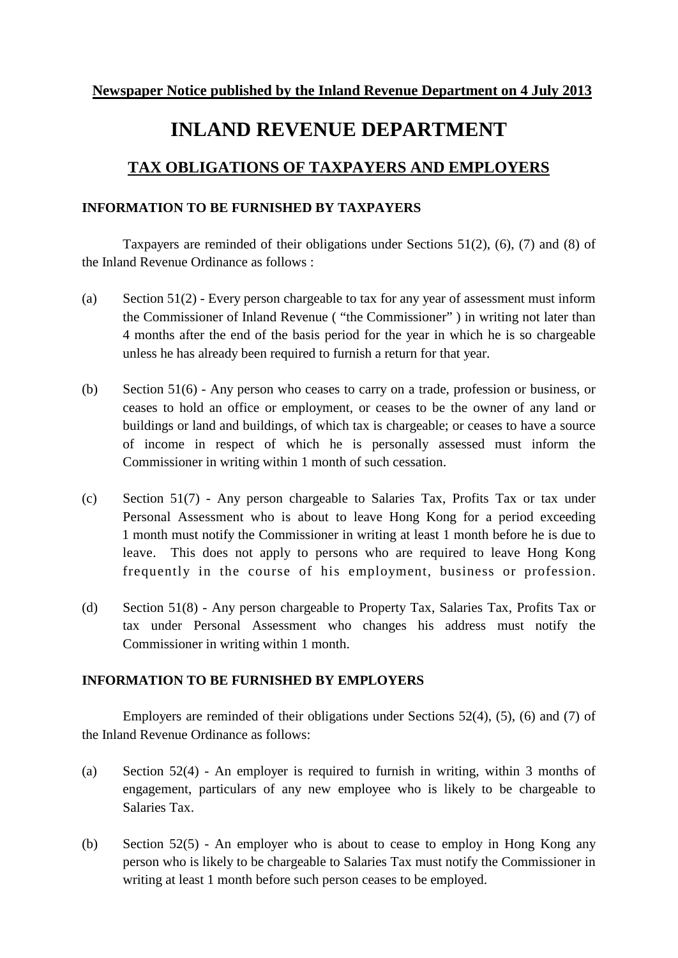## **INLAND REVENUE DEPARTMENT**

## **TAX OBLIGATIONS OF TAXPAYERS AND EMPLOYERS**

## **INFORMATION TO BE FURNISHED BY TAXPAYERS**

Taxpayers are reminded of their obligations under Sections 51(2), (6), (7) and (8) of the Inland Revenue Ordinance as follows :

- (a) Section  $51(2)$  Every person chargeable to tax for any year of assessment must inform the Commissioner of Inland Revenue ( "the Commissioner" ) in writing not later than 4 months after the end of the basis period for the year in which he is so chargeable unless he has already been required to furnish a return for that year.
- (b) Section 51(6) Any person who ceases to carry on a trade, profession or business, or ceases to hold an office or employment, or ceases to be the owner of any land or buildings or land and buildings, of which tax is chargeable; or ceases to have a source of income in respect of which he is personally assessed must inform the Commissioner in writing within 1 month of such cessation.
- (c) Section 51(7) Any person chargeable to Salaries Tax, Profits Tax or tax under Personal Assessment who is about to leave Hong Kong for a period exceeding 1 month must notify the Commissioner in writing at least 1 month before he is due to leave. This does not apply to persons who are required to leave Hong Kong frequently in the course of his employment, business or profession.
- (d) Section 51(8) Any person chargeable to Property Tax, Salaries Tax, Profits Tax or tax under Personal Assessment who changes his address must notify the Commissioner in writing within 1 month.

## **INFORMATION TO BE FURNISHED BY EMPLOYERS**

Employers are reminded of their obligations under Sections 52(4), (5), (6) and (7) of the Inland Revenue Ordinance as follows:

- (a) Section 52(4) An employer is required to furnish in writing, within 3 months of engagement, particulars of any new employee who is likely to be chargeable to Salaries Tax.
- (b) Section 52(5) An employer who is about to cease to employ in Hong Kong any person who is likely to be chargeable to Salaries Tax must notify the Commissioner in writing at least 1 month before such person ceases to be employed.